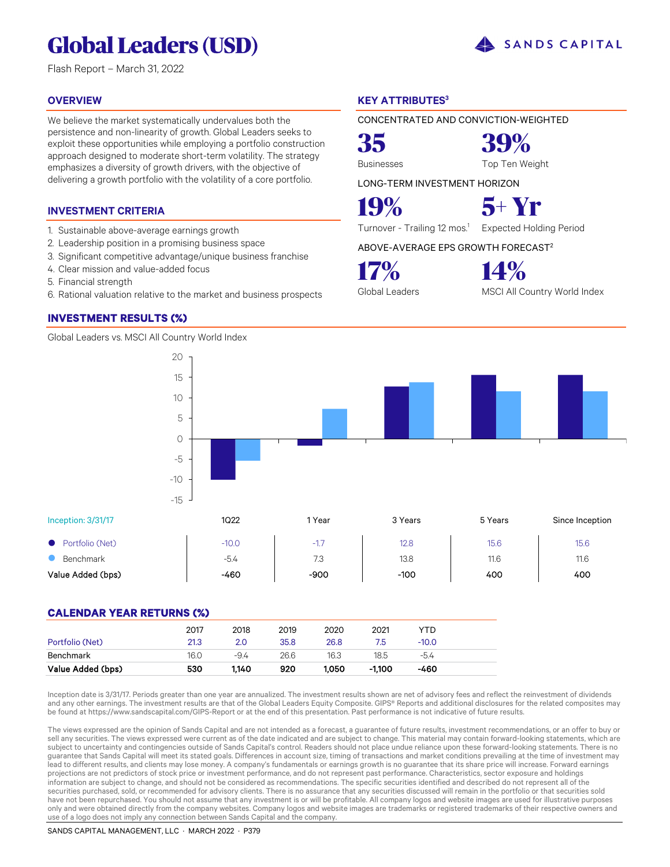# **Global Leaders (USD)**

Flash Report – March 31, 2022

#### **OVERVIEW**

We believe the market systematically undervalues both the persistence and non-linearity of growth. Global Leaders seeks to exploit these opportunities while employing a portfolio construction approach designed to moderate short-term volatility. The strategy emphasizes a diversity of growth drivers, with the objective of delivering a growth portfolio with the volatility of a core portfolio.

#### **INVESTMENT CRITERIA**

- 1. Sustainable above-average earnings growth
- 2. Leadership position in a promising business space
- 3. Significant competitive advantage/unique business franchise
- 4. Clear mission and value-added focus
- 5. Financial strength
- 6. Rational valuation relative to the market and business prospects

#### **INVESTMENT RESULTS (%)**

Global Leaders vs. MSCI All Country World Index

#### **KEY ATTRIBUTES<sup>3</sup>**

CONCENTRATED AND CONVICTION-WEIGHTED

**35 39%**

Businesses Top Ten Weight

SANDS CAPITAL

LONG-TERM INVESTMENT HORIZON

**19% 5+ Yr**

Turnover - Trailing 12 mos.<sup>1</sup> Expected Holding Period

ABOVE-AVERAGE EPS GROWTH FORECAST<sup>2</sup>

**17% 14%**

Global Leaders MSCI All Country World Index

Inception: 3/31/17 1Q22 1Q22 1Xear 3 Years 5 Years Since Inception ● Portfolio (Net) -10.0 | 17 | 12.8 | 15.6 | 15.6 **8** Benchmark 11.6 **11.6** 11.6 11.6 Value Added (bps) | -460 | -900 | -100 | 400 | 400 -15 -10 -5 0

#### **CALENDAR YEAR RETURNS (%)**

|                   | 2017 | 2018  | 2019 | 2020  | 2021   | YTD     |  |
|-------------------|------|-------|------|-------|--------|---------|--|
| Portfolio (Net)   | 21.3 | 2.0   | 35.8 | 26.8  | 7.5    | $-10.0$ |  |
| Benchmark         | 16.0 | -9.4  | 26.6 | 16.3  | 18.5   | $-5.4$  |  |
| Value Added (bps) | 530  | 1.140 | 920  | 1.050 | -1.100 | -460    |  |

Inception date is 3/31/17. Periods greater than one year are annualized. The investment results shown are net of advisory fees and reflect the reinvestment of dividends and any other earnings. The investment results are that of the Global Leaders Equity Composite. GIPS® Reports and additional disclosures for the related composites may be found at https://www.sandscapital.com/GIPS-Report or at the end of this presentation. Past performance is not indicative of future results.

The views expressed are the opinion of Sands Capital and are not intended as a forecast, a guarantee of future results, investment recommendations, or an offer to buy or sell any securities. The views expressed were current as of the date indicated and are subject to change. This material may contain forward-looking statements, which are subject to uncertainty and contingencies outside of Sands Capital's control. Readers should not place undue reliance upon these forward-looking statements. There is no guarantee that Sands Capital will meet its stated goals. Differences in account size, timing of transactions and market conditions prevailing at the time of investment may lead to different results, and clients may lose money. A company's fundamentals or earnings growth is no guarantee that its share price will increase. Forward earnings projections are not predictors of stock price or investment performance, and do not represent past performance. Characteristics, sector exposure and holdings information are subject to change, and should not be considered as recommendations. The specific securities identified and described do not represent all of the securities purchased, sold, or recommended for advisory clients. There is no assurance that any securities discussed will remain in the portfolio or that securities sold have not been repurchased. You should not assume that any investment is or will be profitable. All company logos and website images are used for illustrative purposes only and were obtained directly from the company websites. Company logos and website images are trademarks or registered trademarks of their respective owners and use of a logo does not imply any connection between Sands Capital and the company.

#### SANDS CAPITAL MANAGEMENT, LLC · MARCH 2022 · P379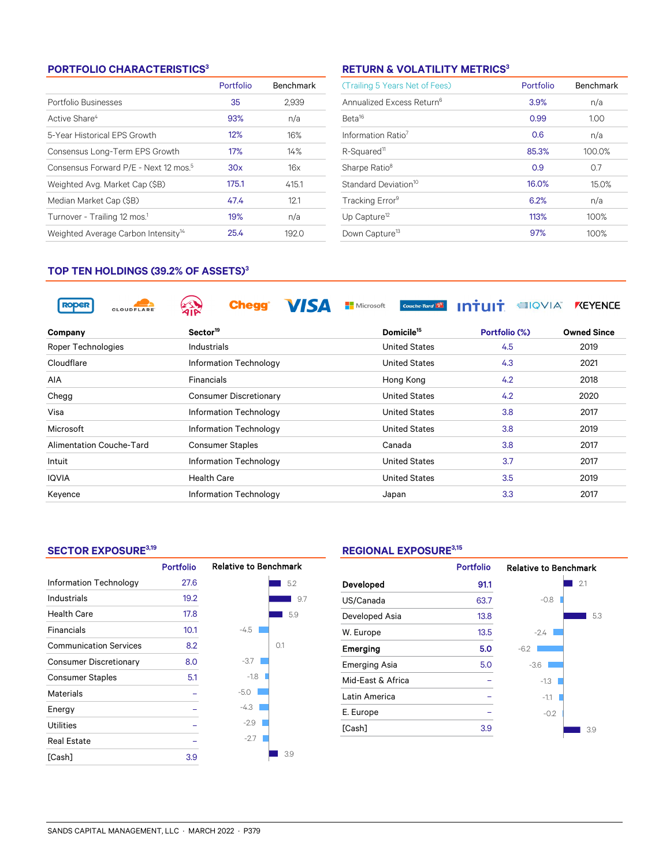#### **PORTFOLIO CHARACTERISTICS<sup>3</sup>**

|                                                   | Portfolio | Benchmark |
|---------------------------------------------------|-----------|-----------|
| Portfolio Businesses                              | 35        | 2.939     |
| Active Share <sup>4</sup>                         | 93%       | n/a       |
| 5-Year Historical EPS Growth                      | 12%       | 16%       |
| Consensus Long-Term EPS Growth                    | 17%       | 14%       |
| Consensus Forward P/E - Next 12 mos. <sup>5</sup> | 30x       | 16x       |
| Weighted Avg. Market Cap (\$B)                    | 175.1     | 415.1     |
| Median Market Cap (\$B)                           | 47.4      | 12.1      |
| Turnover - Trailing 12 mos. <sup>1</sup>          | 19%       | n/a       |
| Weighted Average Carbon Intensity <sup>14</sup>   | 25.4      | 192.0     |

### **RETURN & VOLATILITY METRICS<sup>3</sup>**

| (Trailing 5 Years Net of Fees)        | Portfolio | <b>Benchmark</b> |
|---------------------------------------|-----------|------------------|
| Annualized Excess Return <sup>6</sup> | 3.9%      | n/a              |
| Beta <sup>16</sup>                    | 0.99      | 1.00             |
| Information Ratio <sup>7</sup>        | 0.6       | n/a              |
| R-Squared <sup>11</sup>               | 85.3%     | 100.0%           |
| Sharpe Ratio <sup>8</sup>             | 0.9       | 0.7              |
| Standard Deviation <sup>10</sup>      | 16.0%     | 15.0%            |
| Tracking Error <sup>9</sup>           | 6.2%      | n/a              |
| Up Capture <sup>12</sup>              | 113%      | 100%             |
| Down Capture <sup>13</sup>            | 97%       | 100%             |

#### **TOP TEN HOLDINGS (39.2% OF ASSETS)<sup>3</sup>**

| <b>RODER</b><br><b>CLOUDFLARE</b> | <b>Chegg</b>                  | Microsoft<br>Couche-Tard | <b>EIQVIA</b> | <b>KEYENCE</b>     |
|-----------------------------------|-------------------------------|--------------------------|---------------|--------------------|
| Company                           | Sector <sup>19</sup>          | Domicile <sup>15</sup>   | Portfolio (%) | <b>Owned Since</b> |
| Roper Technologies                | Industrials                   | <b>United States</b>     | 4.5           | 2019               |
| Cloudflare                        | Information Technology        | <b>United States</b>     | 4.3           | 2021               |
| <b>AIA</b>                        | Financials                    | Hong Kong                | 4.2           | 2018               |
| Chegg                             | <b>Consumer Discretionary</b> | <b>United States</b>     | 4.2           | 2020               |
| Visa                              | Information Technology        | <b>United States</b>     | 3.8           | 2017               |
| Microsoft                         | Information Technology        | <b>United States</b>     | 3.8           | 2019               |
| Alimentation Couche-Tard          | <b>Consumer Staples</b>       | Canada                   | 3.8           | 2017               |
| Intuit                            | Information Technology        | <b>United States</b>     | 3.7           | 2017               |
| <b>IQVIA</b>                      | <b>Health Care</b>            | <b>United States</b>     | 3.5           | 2019               |
| Keyence                           | Information Technology        | Japan                    | 3.3           | 2017               |

#### **SECTOR EXPOSURE3,19**

|                               | <b>Portfolio</b> | <b>Relative to Benchmark</b> |     |
|-------------------------------|------------------|------------------------------|-----|
| Information Technology        | 27.6             |                              | 5.2 |
| Industrials                   | 19.2             |                              | 9.7 |
| <b>Health Care</b>            | 17.8             |                              | 5.9 |
| <b>Financials</b>             | 10.1             | $-4.5$                       |     |
| <b>Communication Services</b> | 8.2              |                              | 0.1 |
| <b>Consumer Discretionary</b> | 8.0              | $-3.7$                       |     |
| <b>Consumer Staples</b>       | 5.1              | $-1.8$                       |     |
| Materials                     |                  | $-5.0$                       |     |
| Energy                        |                  | $-4.3$                       |     |
| <b>Utilities</b>              |                  | $-2.9$                       |     |
| <b>Real Estate</b>            |                  | $-2.7$                       |     |
| [Cash]                        | 3.9              |                              | 3.9 |

### **REGIONAL EXPOSURE3,15**

|                      | <b>Portfolio</b> | <b>Relative to Benchmark</b> |     |
|----------------------|------------------|------------------------------|-----|
| Developed            | 91.1             |                              | 2.1 |
| US/Canada            | 63.7             | $-0.8$                       |     |
| Developed Asia       | 13.8             |                              | 5.3 |
| W. Europe            | 13.5             | $-2.4$                       |     |
| Emerging             | 5.0              | $-6.2$                       |     |
| <b>Emerging Asia</b> | 5.0              | $-3.6$                       |     |
| Mid-East & Africa    |                  | $-1.3$                       |     |
| Latin America        |                  | $-1.1$                       |     |
| E. Europe            |                  | $-0.2$                       |     |
| [Cash]               | 3.9              |                              | 3.9 |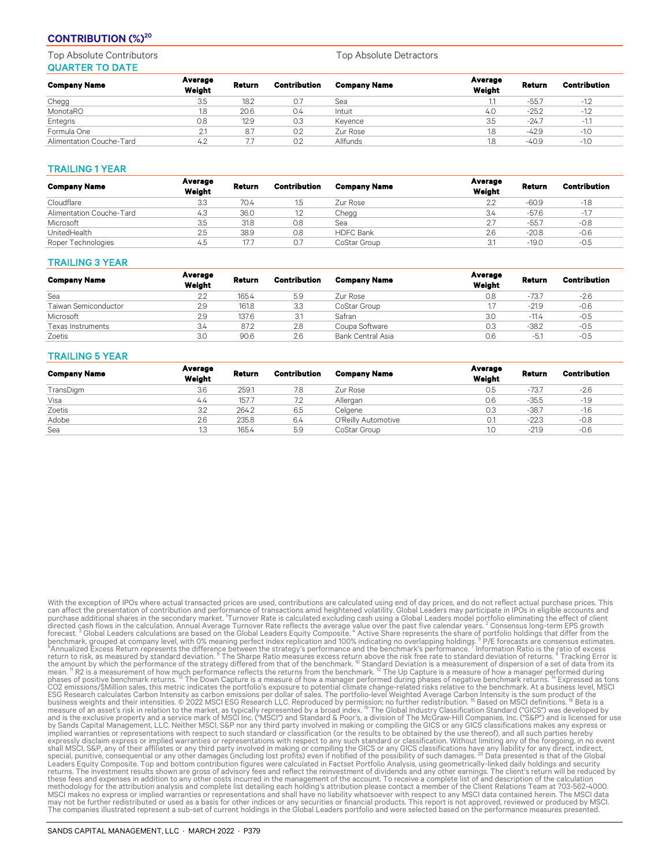#### **CONTRIBUTION (%)<sup>20</sup>**

Top Absolute Contributors Top Absolute Detractors Top Absolute Detractors QUARTER TO DATE

| <b>Company Name</b>      | Average<br>Weight | Return | Contribution | <b>Company Name</b> | Average<br>Weight | Return  | <b>Contribution</b> |
|--------------------------|-------------------|--------|--------------|---------------------|-------------------|---------|---------------------|
| Chegg                    | 3.5               | 18.2   | 0.7          | Sea                 |                   | $-55.7$ | $-1.2$              |
| MonotaRO                 | 1.8               | 20.6   | 0.4          | Intuit              | 4.0               | $-25.2$ | $-1.2$              |
| Entegris                 | 0.8               | 12.9   | 0.3          | Keyence             | 3.5               | $-24.7$ | $-1.1$              |
| Formula One              | 2.1               | 8.7    | 0.2          | Zur Rose            | 1.8               | $-42.9$ | $-1.0$              |
| Alimentation Couche-Tard | 4.2               | 77     | 0.2          | Allfunds            | 1.8               | $-40.9$ | $-1.0$              |

#### TRAILING 1 YEAR

| <b>Company Name</b>      | Average<br>Weight | Return | <b>Contribution</b> | <b>Company Name</b> | Average<br>Weight | Return  | <b>Contribution</b> |
|--------------------------|-------------------|--------|---------------------|---------------------|-------------------|---------|---------------------|
| Cloudflare               | 3.3               | 70.4   |                     | Zur Rose            | 2.2               | $-60.9$ | $-1.8$              |
| Alimentation Couche-Tard | 4.3               | 36.0   |                     | Chegg               | 3.4               | -57.6   | $-17$               |
| Microsoft                | 3.5               | 31.8   | 0.8                 | Sea                 | 27                | $-55.7$ | $-0.8$              |
| UnitedHealth             | 2.5               | 38.9   | 0.8                 | <b>HDFC Bank</b>    | 2.6               | $-20.8$ | $-0.6$              |
| Roper Technologies       | 4.5               | 17.7   | O.7                 | CoStar Group        | 3.1               | $-19.0$ | $-0.5$              |

#### TRAILING 3 YEAR

| <b>Company Name</b>         | Average<br>Weight | Return | Contribution | <b>Company Name</b> | Average<br>Weight | Return  | <b>Contribution</b> |
|-----------------------------|-------------------|--------|--------------|---------------------|-------------------|---------|---------------------|
| Sea                         | 2.2               | 165.4  | 5.9          | Zur Rose            | 0.8               | $-73.7$ | $-2.6$              |
| <b>Taiwan Semiconductor</b> | 2.9               | 161.8  | 3.3          | CoStar Group        |                   | $-21.9$ | $-0.6$              |
| Microsoft                   | 2.9               | 137.6  | 3.1          | Safran              | 3.0               | $-11.4$ | $-0.5$              |
| <b>Texas Instruments</b>    | 3.4               | 87.2   | 2.8          | Coupa Software      | 0.3               | $-38.2$ | $-0.5$              |
| Zoetis                      | 3.0               | 90.6   | 2.6          | Bank Central Asia   | 0.6               | $-5.7$  | $-0.5$              |

#### TRAILING 5 YEAR

| <b>Company Name</b> | Average<br>Weight | Return | <b>Contribution</b> | <b>Company Name</b> | Average<br>Weight | Return  | <b>Contribution</b> |
|---------------------|-------------------|--------|---------------------|---------------------|-------------------|---------|---------------------|
| TransDigm           | 3.6               | 259.1  | 7.8                 | Zur Rose            | 0.5               | $-73.7$ | $-2.6$              |
| Visa                | 4.4               | 157.7  |                     | Allergan            | 0.6               | $-35.5$ | $-1.9$              |
| Zoetis              | 3.2               | 264.2  | 6.5                 | Celgene             | 0.3               | $-38.7$ | $-1.6$              |
| Adobe               | 2.6               | 235.8  | 6.4                 | O'Reilly Automotive | 0.1               | $-22.3$ | $-0.8$              |
| Sea                 | 1.3               | 165.4  | 5.9                 | CoStar Group        | 1.0               | $-21.9$ | $-0.6$              |

With the exception of IPOs where actual transacted prices are used, contributions are calculated using end of day prices, and do not reflect actual purchase prices. This<br>can affect the presentation of contribution and perf can affect the presentation of contilibution and performance of transactions amil heightened volatility. Global Leaders may participate in IPSa in eights accounts and the secondary market. Turnover Rate is calculated exclu methodology for the attribution analysis and complete list detailing each holding's attribution please contact a member of the Client Relations Team at 703-562-4000.<br>MSCI makes no express or implied warranties or represent may not be further redistributed or used as a basis for other indices or any securities or financial products. This report is not approved, reviewed or produced by MSCI.<br>The companies illustrated represent a sub-set of cur